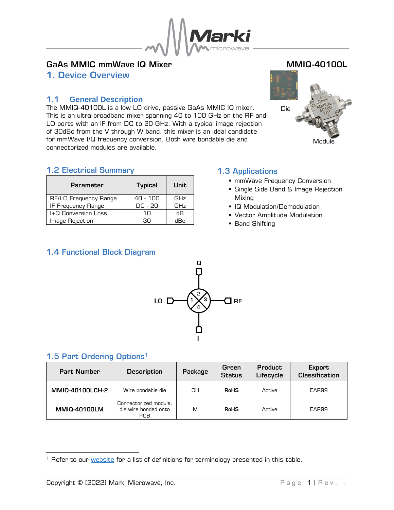

# GaAs MMIC mmWave IQ Mixer MALL CONTENTS MMIQ-40100L

<span id="page-0-0"></span>1. Device Overview

## <span id="page-0-1"></span>1.1 **General Description**

The MMIQ-40100L is a low LO drive, passive GaAs MMIC IQ mixer. This is an ultra-broadband mixer spanning 40 to 100 GHz on the RF and LO ports with an IF from DC to 20 GHz. With a typical image rejection of 30dBc from the V through W band, this mixer is an ideal candidate for mmWave I/Q frequency conversion. Both wire bondable die and connectorized modules are available.



## <span id="page-0-2"></span>1.2 Electrical Summary

| <b>Parameter</b>      | <b>Typical</b> | Unit |
|-----------------------|----------------|------|
| RF/LO Frequency Range | 40 - 100       | GHz  |
| IF Frequency Range    | DC - 20        | GHz  |
| I+Q Conversion Loss   | 1∩             | dВ   |
| Image Rejection       | חר             | dBc. |

## <span id="page-0-3"></span>1.3 Applications

- **·** mmWave Frequency Conversion
- **Single Side Band & Image Rejection** Mixing
- IQ Modulation/Demodulation
- Vector Amplitude Modulation
- Band Shifting

## <span id="page-0-4"></span>1.4 Functional Block Diagram



## <span id="page-0-5"></span>1.5 Part Ordering Options<sup>1</sup>

| <b>Part Number</b>  | <b>Description</b>                                          | Package | Green<br><b>Status</b> | <b>Product</b><br>Lifecycle | <b>Export</b><br><b>Classification</b> |
|---------------------|-------------------------------------------------------------|---------|------------------------|-----------------------------|----------------------------------------|
| MMIQ-40100LCH-2     | Wire bondable die                                           | CН      | <b>RoHS</b>            | Active                      | EAR99                                  |
| <b>MMIQ-40100LM</b> | Connectorized module,<br>die wire bonded onto<br><b>PCB</b> | M       | <b>RoHS</b>            | Active                      | EAR99                                  |

<sup>&</sup>lt;sup>1</sup> Refer to our [website](http://www.markimicrowave.com/Assets/appnotes/Datasheet_Product_Status_Information.pdf) for a list of definitions for terminology presented in this table.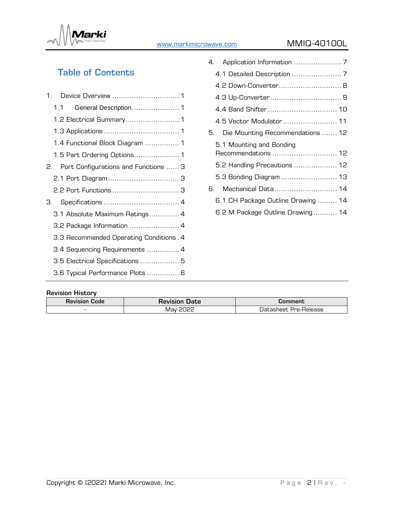

# [www.markimicrowave.com](https://www.markimicrowave.com/) MMIQ-40100L

# Table of Contents

|    | 1.1 |                                         |
|----|-----|-----------------------------------------|
|    |     | 1.2 Electrical Summary 1                |
|    |     |                                         |
|    |     | 1.4 Functional Block Diagram  1         |
|    |     |                                         |
| 2. |     | Port Configurations and Functions  3    |
|    |     |                                         |
|    |     | 2.2 Port Functions  3                   |
| З. |     |                                         |
|    |     | 3.1 Absolute Maximum Ratings 4          |
|    |     | 3.2 Package Information  4              |
|    |     | 3.3 Recommended Operating Conditions. 4 |
|    |     | 3.4 Sequencing Requirements  4          |
|    |     | 3.5 Electrical Specifications  5        |
|    |     | 3.6 Typical Performance Plots  6        |
|    |     |                                         |

|    | 4.2 Down-Converter 8                            |  |
|----|-------------------------------------------------|--|
|    |                                                 |  |
|    | 4.4 Band Shifter  10                            |  |
|    |                                                 |  |
|    | Die Mounting Recommendations  12                |  |
|    | 5.1 Mounting and Bonding<br>Recommendations  12 |  |
|    | 5.2 Handling Precautions  12                    |  |
|    | 5.3 Bonding Diagram  13                         |  |
| 6. |                                                 |  |
|    | 6.1 CH Package Outline Drawing  14              |  |
|    | 6.2 M Package Outline Drawing 14                |  |
|    |                                                 |  |

#### Revision History

| <b>Revision Code</b> | <b>Revision</b><br><b>Date</b> | Comment                    |
|----------------------|--------------------------------|----------------------------|
| -                    | ההחר<br>Mav                    | tasheet Pre-Release<br>Jat |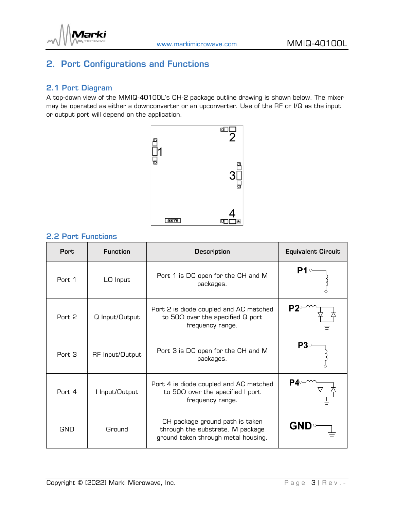

# <span id="page-2-0"></span>2. Port Configurations and Functions

#### <span id="page-2-1"></span>2.1 Port Diagram

A top-down view of the MMIQ-40100L's CH-2 package outline drawing is shown below. The mixer may be operated as either a downconverter or an upconverter. Use of the RF or I/Q as the input or output port will depend on the application.



#### <span id="page-2-2"></span>2.2 Port Functions

| <b>Port</b> | <b>Function</b> | <b>Description</b>                                                                                         | <b>Equivalent Circuit</b> |
|-------------|-----------------|------------------------------------------------------------------------------------------------------------|---------------------------|
| Port. 1     | LO Input        | Port 1 is DC open for the CH and M<br>packages.                                                            |                           |
| Port 2      | Q Input/Output  | Port 2 is diode coupled and AC matched<br>to $50\Omega$ over the specified Q port<br>frequency range.      |                           |
| Port 3      | RF Input/Output | Port 3 is DC open for the CH and M<br>packages.                                                            | P3                        |
| Port 4      | I Input/Output  | Port 4 is diode coupled and AC matched<br>to $50\Omega$ over the specified I port<br>frequency range.      |                           |
| GND         | Ground          | CH package ground path is taken<br>through the substrate. M package<br>ground taken through metal housing. | <b>GND</b>                |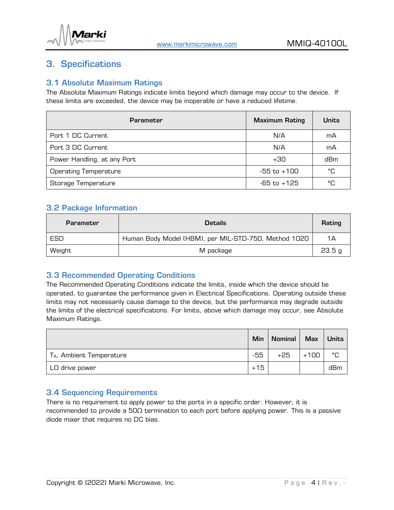

# <span id="page-3-0"></span>3. Specifications

## <span id="page-3-1"></span>3.1 Absolute Maximum Ratings

The Absolute Maximum Ratings indicate limits beyond which damage may occur to the device. If these limits are exceeded, the device may be inoperable or have a reduced lifetime.

| <b>Parameter</b>             | <b>Maximum Rating</b> | <b>Units</b> |
|------------------------------|-----------------------|--------------|
| Port 1 DC Current            | N/A                   | mA           |
| Port 3 DC Current            | N/A                   | mA           |
| Power Handling, at any Port  | $+30$                 | dBm          |
| <b>Operating Temperature</b> | -55 to +100           | °C           |
| Storage Temperature          | $-65$ to $+125$       | °C           |

#### <span id="page-3-2"></span>3.2 Package Information

| <b>Parameter</b> | <b>Details</b>                                       | Rating |
|------------------|------------------------------------------------------|--------|
| ESD              | Human Body Model (HBM), per MIL-STD-750, Method 1020 | 1Α     |
| Weight           | M package                                            | 23.5 g |

#### <span id="page-3-3"></span>3.3 Recommended Operating Conditions

The Recommended Operating Conditions indicate the limits, inside which the device should be operated, to guarantee the performance given in Electrical Specifications. Operating outside these limits may not necessarily cause damage to the device, but the performance may degrade outside the limits of the electrical specifications. For limits, above which damage may occur, see Absolute Maximum Ratings.

|                                      | Min   | <b>Nominal</b> | <b>Max</b> | <b>Units</b> |
|--------------------------------------|-------|----------------|------------|--------------|
| T <sub>A</sub> , Ambient Temperature | $-55$ | $+25$          | $+100$     | °C           |
| LO drive power                       | $+15$ |                |            | dBm          |

## <span id="page-3-4"></span>3.4 Sequencing Requirements

There is no requirement to apply power to the ports in a specific order. However, it is recommended to provide a 50Ω termination to each port before applying power. This is a passive diode mixer that requires no DC bias.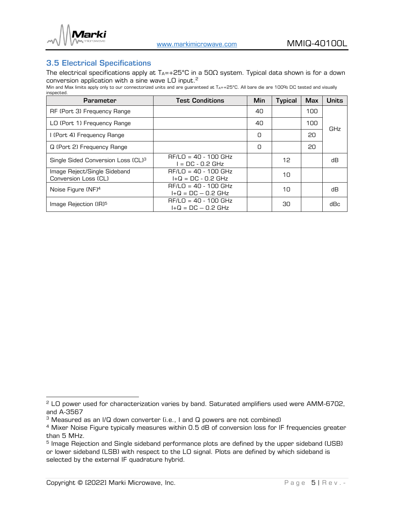

#### <span id="page-4-0"></span>3.5 Electrical Specifications

The electrical specifications apply at  $T_{A}$ =+25°C in a 50 $\Omega$  system. Typical data shown is for a down conversion application with a sine wave LO input. $^2$ 

Min and Max limits apply only to our connectorized units and are guaranteed at TA=+25°C. All bare die are 100% DC tested and visually inspected.

| <b>Parameter</b>                                     | <b>Test Conditions</b>                         | <b>Min</b> | <b>Typical</b> | <b>Max</b> | <b>Units</b> |
|------------------------------------------------------|------------------------------------------------|------------|----------------|------------|--------------|
| RF (Port 3) Frequency Range                          |                                                | 40         |                | 100        |              |
| LO (Port 1) Frequency Range                          |                                                | 40         |                | 100        | <b>GHz</b>   |
| I (Port 4) Frequency Range                           |                                                | 0          |                | 20         |              |
| Q (Port 2) Frequency Range                           |                                                | 0          |                | 20         |              |
| Single Sided Conversion Loss (CL) <sup>3</sup>       | $RF/LO = 40 - 100$ GHz<br>I = DC - 0.2 GHz     |            | 12             |            | dВ           |
| Image Reject/Single Sideband<br>Conversion Loss (CL) | $RF/LO = 40 - 100 GHz$<br>$I+Q = DC - 0.2 GHz$ |            | 10             |            |              |
| Noise Figure (NF) <sup>4</sup>                       | $RF/LO = 40 - 100 GHz$<br>$I+Q = DC - 0.2 GHz$ |            | 10             |            | dВ           |
| Image Rejection (IR) <sup>5</sup>                    | $RF/LO = 40 - 100 GHz$<br>$I+Q = DC - 0.2 GHz$ |            | 30             |            | dBc          |

<sup>&</sup>lt;sup>2</sup> LO power used for characterization varies by band. Saturated amplifiers used were AMM-6702, and A-3567

<sup>&</sup>lt;sup>3</sup> Measured as an I/Q down converter (i.e., I and Q powers are not combined)

<sup>&</sup>lt;sup>4</sup> Mixer Noise Figure typically measures within 0.5 dB of conversion loss for IF frequencies greater than 5 MHz.

<sup>&</sup>lt;sup>5</sup> Image Rejection and Single sideband performance plots are defined by the upper sideband (USB) or lower sideband (LSB) with respect to the LO signal. Plots are defined by which sideband is selected by the external IF quadrature hybrid.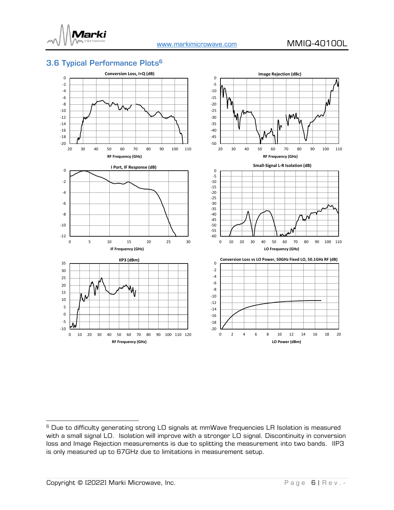

# <span id="page-5-0"></span>3.6 Typical Performance Plots 6



<sup>&</sup>lt;sup>6</sup> Due to difficulty generating strong LO signals at mmWave frequencies LR Isolation is measured with a small signal LO. Isolation will improve with a stronger LO signal. Discontinuity in conversion loss and Image Rejection measurements is due to splitting the measurement into two bands. IIP3 is only measured up to 67GHz due to limitations in measurement setup.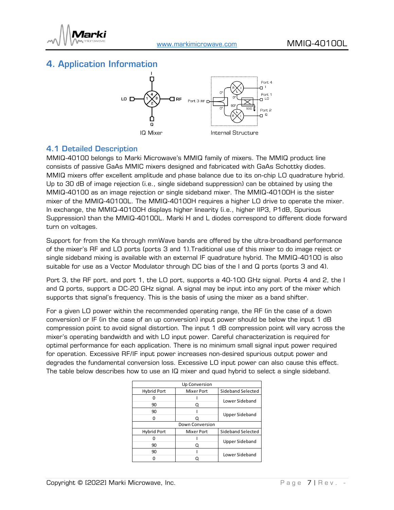

# <span id="page-6-0"></span>4. Application Information



#### <span id="page-6-1"></span>4.1 Detailed Description

MMIQ-40100 belongs to Marki Microwave's MMIQ family of mixers. The MMIQ product line consists of passive GaAs MMIC mixers designed and fabricated with GaAs Schottky diodes. MMIQ mixers offer excellent amplitude and phase balance due to its on-chip LO quadrature hybrid. Up to 30 dB of image rejection (i.e., single sideband suppression) can be obtained by using the MMIQ-40100 as an image rejection or single sideband mixer. The MMIQ-40100H is the sister mixer of the MMIQ-40100L. The MMIQ-40100H requires a higher LO drive to operate the mixer. In exchange, the MMIQ-40100H displays higher linearity (i.e., higher IIP3, P1dB, Spurious Suppression) than the MMIQ-40100L. Marki H and L diodes correspond to different diode forward turn on voltages.

Support for from the Ka through mmWave bands are offered by the ultra-broadband performance of the mixer's RF and LO ports (ports 3 and 1).Traditional use of this mixer to do image reject or single sideband mixing is available with an external IF quadrature hybrid. The MMIQ-40100 is also suitable for use as a Vector Modulator through DC bias of the I and Q ports (ports 3 and 4).

Port 3, the RF port, and port 1, the LO port, supports a 40-100 GHz signal. Ports 4 and 2, the I and Q ports, support a DC-20 GHz signal. A signal may be input into any port of the mixer which supports that signal's frequency. This is the basis of using the mixer as a band shifter.

For a given LO power within the recommended operating range, the RF (in the case of a down conversion) or IF (in the case of an up conversion) input power should be below the input 1 dB compression point to avoid signal distortion. The input 1 dB compression point will vary across the mixer's operating bandwidth and with LO input power. Careful characterization is required for optimal performance for each application. There is no minimum small signal input power required for operation. Excessive RF/IF input power increases non-desired spurious output power and degrades the fundamental conversion loss. Excessive LO input power can also cause this effect. The table below describes how to use an IQ mixer and quad hybrid to select a single sideband.

|                    | Up Conversion     |                       |
|--------------------|-------------------|-----------------------|
| <b>Hybrid Port</b> | <b>Mixer Port</b> | Sideband Selected     |
|                    |                   | Lower Sideband        |
| 90                 | Q                 |                       |
| 90                 |                   | <b>Upper Sideband</b> |
| 0                  |                   |                       |
|                    | Down Conversion   |                       |
| <b>Hybrid Port</b> | <b>Mixer Port</b> | Sideband Selected     |
|                    |                   | <b>Upper Sideband</b> |
| 90                 | Q                 |                       |
| 90                 |                   | Lower Sideband        |
|                    |                   |                       |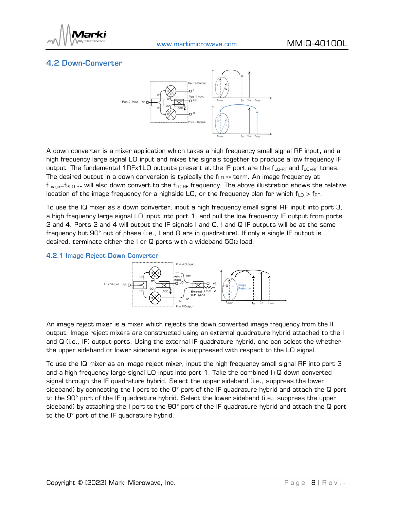

## <span id="page-7-0"></span>4.2 Down-Converter



A down converter is a mixer application which takes a high frequency small signal RF input, and a high frequency large signal LO input and mixes the signals together to produce a low frequency IF output. The fundamental 1RFx1LO outputs present at the IF port are the  $f_{LO-RF}$  and  $f_{LO+RF}$  tones. The desired output in a down conversion is typically the  $f_{\text{LO-RF}}$  term. An image frequency at  $f_{\text{Image}} = f_{2\text{LO-RF}}$  will also down convert to the  $f_{\text{LO-RF}}$  frequency. The above illustration shows the relative location of the image frequency for a highside LO, or the frequency plan for which  $f_{\text{LO}} > f_{\text{RF}}$ .

To use the IQ mixer as a down converter, input a high frequency small signal RF input into port 3, a high frequency large signal LO input into port 1, and pull the low frequency IF output from ports 2 and 4. Ports 2 and 4 will output the IF signals I and Q. I and Q IF outputs will be at the same frequency but 90° out of phase (i.e., I and Q are in quadrature). If only a single IF output is desired, terminate either the I or Q ports with a wideband 50Ω load.

#### 4.2.1 Image Reject Down-Converter



An image reject mixer is a mixer which rejects the down converted image frequency from the IF output. Image reject mixers are constructed using an external quadrature hybrid attached to the I and Q (i.e., IF) output ports. Using the external IF quadrature hybrid, one can select the whether the upper sideband or lower sideband signal is suppressed with respect to the LO signal.

To use the IQ mixer as an image reject mixer, input the high frequency small signal RF into port 3 and a high frequency large signal LO input into port 1. Take the combined I+Q down converted signal through the IF quadrature hybrid. Select the upper sideband (i.e., suppress the lower sideband) by connecting the I port to the O° port of the IF quadrature hybrid and attach the Q port to the 90° port of the IF quadrature hybrid. Select the lower sideband (i.e., suppress the upper sideband) by attaching the I port to the 90° port of the IF quadrature hybrid and attach the Q port to the 0° port of the IF quadrature hybrid.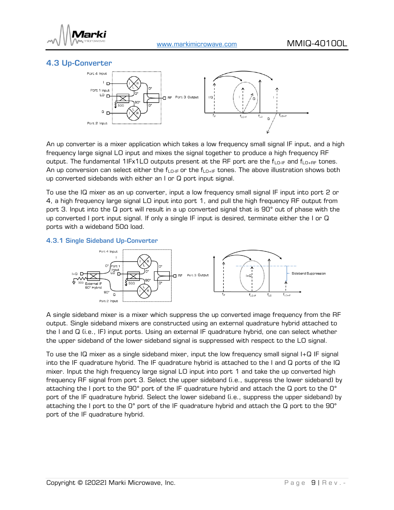

#### <span id="page-8-0"></span>4.3 Up-Converter



An up converter is a mixer application which takes a low frequency small signal IF input, and a high frequency large signal LO input and mixes the signal together to produce a high frequency RF output. The fundamental 1IFx1LO outputs present at the RF port are the  $f_{LO-IF}$  and  $f_{LO+RF}$  tones. An up conversion can select either the  $f_{LQ-F}$  or the  $f_{LQ+F}$  tones. The above illustration shows both up converted sidebands with either an I or Q port input signal.

To use the IQ mixer as an up converter, input a low frequency small signal IF input into port 2 or 4, a high frequency large signal LO input into port 1, and pull the high frequency RF output from port 3. Input into the Q port will result in a up converted signal that is 90° out of phase with the up converted I port input signal. If only a single IF input is desired, terminate either the I or Q ports with a wideband 50Ω load.

#### 4.3.1 Single Sideband Up-Converter



A single sideband mixer is a mixer which suppress the up converted image frequency from the RF output. Single sideband mixers are constructed using an external quadrature hybrid attached to the I and Q (i.e., IF) input ports. Using an external IF quadrature hybrid, one can select whether the upper sideband of the lower sideband signal is suppressed with respect to the LO signal.

To use the IQ mixer as a single sideband mixer, input the low frequency small signal I+Q IF signal into the IF quadrature hybrid. The IF quadrature hybrid is attached to the I and Q ports of the IQ mixer. Input the high frequency large signal LO input into port 1 and take the up converted high frequency RF signal from port 3. Select the upper sideband (i.e., suppress the lower sideband) by attaching the I port to the 90° port of the IF quadrature hybrid and attach the Q port to the 0° port of the IF quadrature hybrid. Select the lower sideband (i.e., suppress the upper sideband) by attaching the I port to the 0° port of the IF quadrature hybrid and attach the Q port to the 90° port of the IF quadrature hybrid.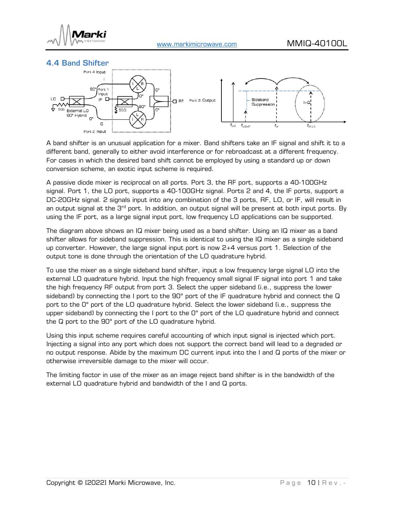

<span id="page-9-0"></span>



A band shifter is an unusual application for a mixer. Band shifters take an IF signal and shift it to a different band, generally to either avoid interference or for rebroadcast at a different frequency. For cases in which the desired band shift cannot be employed by using a standard up or down conversion scheme, an exotic input scheme is required.

A passive diode mixer is reciprocal on all ports. Port 3, the RF port, supports a 40-100GHz signal. Port 1, the LO port, supports a 40-100GHz signal. Ports 2 and 4, the IF ports, support a DC-20GHz signal. 2 signals input into any combination of the 3 ports, RF, LO, or IF, will result in an output signal at the  $3<sup>rd</sup>$  port. In addition, an output signal will be present at both input ports. By using the IF port, as a large signal input port, low frequency LO applications can be supported.

The diagram above shows an IQ mixer being used as a band shifter. Using an IQ mixer as a band shifter allows for sideband suppression. This is identical to using the IQ mixer as a single sideband up converter. However, the large signal input port is now 2+4 versus port 1. Selection of the output tone is done through the orientation of the LO quadrature hybrid.

To use the mixer as a single sideband band shifter, input a low frequency large signal LO into the external LO quadrature hybrid. Input the high frequency small signal IF signal into port 1 and take the high frequency RF output from port 3. Select the upper sideband (i.e., suppress the lower sideband) by connecting the I port to the 90° port of the IF quadrature hybrid and connect the Q port to the 0° port of the LO quadrature hybrid. Select the lower sideband (i.e., suppress the upper sideband) by connecting the I port to the O° port of the LO quadrature hybrid and connect the Q port to the 90° port of the LO quadrature hybrid.

Using this input scheme requires careful accounting of which input signal is injected which port. Injecting a signal into any port which does not support the correct band will lead to a degraded or no output response. Abide by the maximum DC current input into the I and Q ports of the mixer or otherwise irreversible damage to the mixer will occur.

The limiting factor in use of the mixer as an image reject band shifter is in the bandwidth of the external LO quadrature hybrid and bandwidth of the I and Q ports.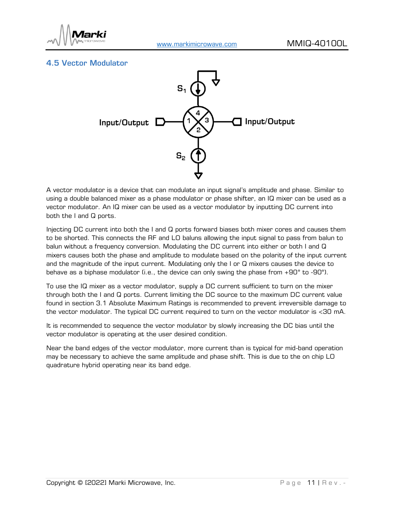

## <span id="page-10-0"></span>4.5 Vector Modulator



A vector modulator is a device that can modulate an input signal's amplitude and phase. Similar to using a double balanced mixer as a phase modulator or phase shifter, an IQ mixer can be used as a vector modulator. An IQ mixer can be used as a vector modulator by inputting DC current into both the I and Q ports.

Injecting DC current into both the I and Q ports forward biases both mixer cores and causes them to be shorted. This connects the RF and LO baluns allowing the input signal to pass from balun to balun without a frequency conversion. Modulating the DC current into either or both I and Q mixers causes both the phase and amplitude to modulate based on the polarity of the input current and the magnitude of the input current. Modulating only the I or Q mixers causes the device to behave as a biphase modulator (i.e., the device can only swing the phase from +90° to -90°).

To use the IQ mixer as a vector modulator, supply a DC current sufficient to turn on the mixer through both the I and Q ports. Current limiting the DC source to the maximum DC current value found in section [3.1 Absolute Maximum Ratings](#page-3-1) is recommended to prevent irreversible damage to the vector modulator. The typical DC current required to turn on the vector modulator is <30 mA.

It is recommended to sequence the vector modulator by slowly increasing the DC bias until the vector modulator is operating at the user desired condition.

Near the band edges of the vector modulator, more current than is typical for mid-band operation may be necessary to achieve the same amplitude and phase shift. This is due to the on chip LO quadrature hybrid operating near its band edge.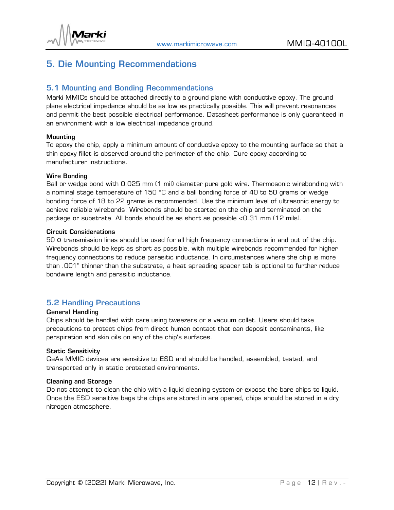

# <span id="page-11-0"></span>5. Die Mounting Recommendations

#### <span id="page-11-1"></span>5.1 Mounting and Bonding Recommendations

Marki MMICs should be attached directly to a ground plane with conductive epoxy. The ground plane electrical impedance should be as low as practically possible. This will prevent resonances and permit the best possible electrical performance. Datasheet performance is only guaranteed in an environment with a low electrical impedance ground.

#### **Mounting**

To epoxy the chip, apply a minimum amount of conductive epoxy to the mounting surface so that a thin epoxy fillet is observed around the perimeter of the chip. Cure epoxy according to manufacturer instructions.

#### Wire Bonding

Ball or wedge bond with 0.025 mm (1 mil) diameter pure gold wire. Thermosonic wirebonding with a nominal stage temperature of 150 °C and a ball bonding force of 40 to 50 grams or wedge bonding force of 18 to 22 grams is recommended. Use the minimum level of ultrasonic energy to achieve reliable wirebonds. Wirebonds should be started on the chip and terminated on the package or substrate. All bonds should be as short as possible <0.31 mm (12 mils).

#### Circuit Considerations

50 Ω transmission lines should be used for all high frequency connections in and out of the chip. Wirebonds should be kept as short as possible, with multiple wirebonds recommended for higher frequency connections to reduce parasitic inductance. In circumstances where the chip is more than .001" thinner than the substrate, a heat spreading spacer tab is optional to further reduce bondwire length and parasitic inductance.

#### <span id="page-11-2"></span>5.2 Handling Precautions

#### General Handling

Chips should be handled with care using tweezers or a vacuum collet. Users should take precautions to protect chips from direct human contact that can deposit contaminants, like perspiration and skin oils on any of the chip's surfaces.

#### Static Sensitivity

GaAs MMIC devices are sensitive to ESD and should be handled, assembled, tested, and transported only in static protected environments.

#### Cleaning and Storage

Do not attempt to clean the chip with a liquid cleaning system or expose the bare chips to liquid. Once the ESD sensitive bags the chips are stored in are opened, chips should be stored in a dry nitrogen atmosphere.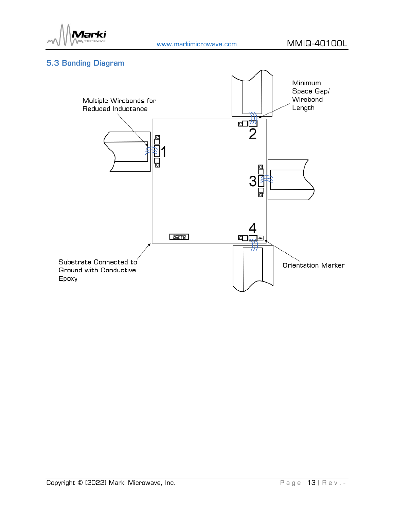

## <span id="page-12-0"></span>5.3 Bonding Diagram